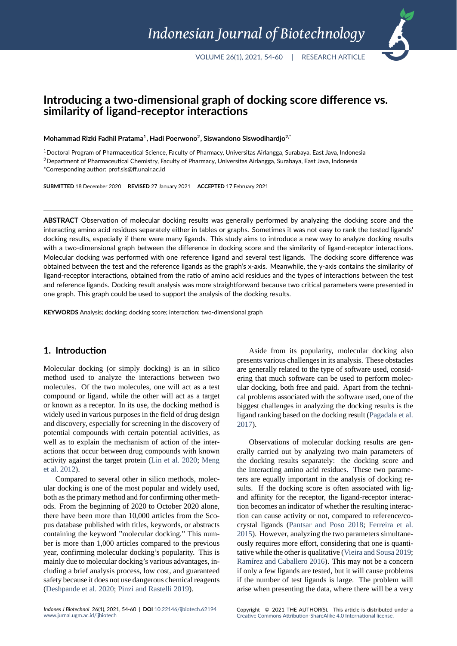# **Introducing a two‐dimensional graph of docking score difference vs. similarity of ligand‐receptor interactions**

**Mohammad Rizki Fadhil Pratama<sup>1</sup> , Hadi Poerwono<sup>2</sup> , Siswandono Siswodihardjo2,\***

<sup>1</sup>Doctoral Program of Pharmaceutical Science, Faculty of Pharmacy, Universitas Airlangga, Surabaya, East Java, Indonesia <sup>2</sup>Department of Pharmaceutical Chemistry, Faculty of Pharmacy, Universitas Airlangga, Surabaya, East Java, Indonesia

\*Corresponding author: prof.sis@ff.unair.ac.id

**SUBMITTED** 18 December 2020 **REVISED** 27 January 2021 **ACCEPTED** 17 February 2021

**ABSTRACT** Observation of molecular docking results was generally performed by analyzing the docking score and the interacting amino acid residues separately either in tables or graphs. Sometimes it was not easy to rank the tested ligands' docking results, especially if there were many ligands. This study aims to introduce a new way to analyze docking results with a two-dimensional graph between the difference in docking score and the similarity of ligand-receptor interactions. Molecular docking was performed with one reference ligand and several test ligands. The docking score difference was obtained between the test and the reference ligands as the graph's x‐axis. Meanwhile, the y‐axis contains the similarity of ligand‐receptor interactions, obtained from the ratio of amino acid residues and the types of interactions between the test and reference ligands. Docking result analysis was more straightforward because two critical parameters were presented in one graph. This graph could be used to support the analysis of the docking results.

**KEYWORDS** Analysis; docking; docking score; interaction; two‐dimensional graph

### **1. Introduction**

Molecular docking (or simply docking) is an in silico method used to analyze the interactions between two molecules. Of the two molecules, one will act as a test compound or ligand, while the other will act as a target or known as a receptor. In its use, the docking method is widely used in various purposes in the field of drug design and discovery, especially for screening in the discovery of potential compounds with certain potential activities, as well as to explain the mechanism of action of the interactions that occur between drug compounds with known activity against the target protein (Lin et al. 2020; Meng et al. 2012).

Compared to several other in silico methods, molecular docking is one of the most popular and widely used, both as the primary method and for [confirming othe](#page-5-0)r [meth](#page-6-0)[ods. From](#page-6-0) the beginning of 2020 to October 2020 alone, there have been more than 10,000 articles from the Scopus database published with titles, keywords, or abstracts containing the keyword "molecular docking." This number is more than 1,000 articles compared to the previous year, confirming molecular docking's popularity. This is mainly due to molecular docking's various advantages, including a brief analysis process, low cost, and guaranteed safety because it does not use dangerous chemical reagents (Deshpande et al. 2020; Pinzi and Rastelli 2019).

Aside from its popularity, molecular docking also presents various challenges in its analysis. These obstacles are generally related to the type of software used, considering that much software can be used to perform molecular docking, both free and paid. Apart from the technical problems associated with the software used, one of the biggest challenges in analyzing the docking results is the ligand ranking based on the docking result (Pagadala et al. 2017).

Observations of molecular docking results are generally carried out by analyzing two main [parameters of](#page-6-1) [the d](#page-6-1)ocking results separately: the docking score and the interacting amino acid residues. These two parameters are equally important in the analysis of docking results. If the docking score is often associated with ligand affinity for the receptor, the ligand-receptor interaction becomes an indicator of whether the resulting interaction can cause activity or not, compared to reference/cocrystal ligands (Pantsar and Poso 2018; Ferreira et al. 2015). However, analyzing the two parameters simultaneously requires more effort, considering that one is quantitative while the other is qualitative (Vieira and Sousa 2019; Ramírez and Caballero [2016\). This may n](#page-6-2)[ot be a concern](#page-5-1) [if onl](#page-5-1)y a few ligands are tested, but it will cause problems if the number of test ligands is large. The problem will arise when presenting the data, wh[ere there will be a very](#page-6-3)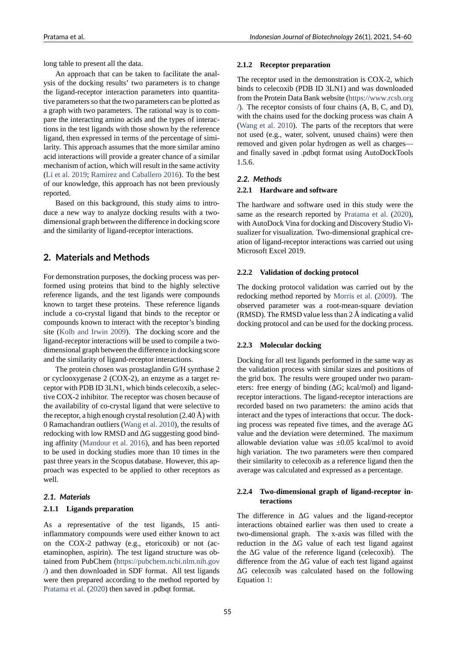long table to present all the data.

An approach that can be taken to facilitate the analysis of the docking results' two parameters is to change the ligand-receptor interaction parameters into quantitative parameters so that the two parameters can be plotted as a graph with two parameters. The rational way is to compare the interacting amino acids and the types of interactions in the test ligands with those shown by the reference ligand, then expressed in terms of the percentage of similarity. This approach assumes that the more similar amino acid interactions will provide a greater chance of a similar mechanism of action, which will result in the same activity (Li et al. 2019; Ramírez and Caballero 2016). To the best of our knowledge, this approach has not been previously reported.

Based on this background, this study aims to intro[duce a new w](#page-5-2)[ay to analyze docking results](#page-6-4) with a twodimensional graph between the difference in docking score and the similarity of ligand-receptor interactions.

### **2. Materials and Methods**

For demonstration purposes, the docking process was performed using proteins that bind to the highly selective reference ligands, and the test ligands were compounds known to target these proteins. These reference ligands include a co-crystal ligand that binds to the receptor or compounds known to interact with the receptor's binding site (Kolb and Irwin 2009). The docking score and the ligand-receptor interactions will be used to compile a twodimensional graph between the difference in docking score and the similarity of ligand-receptor interactions.

[The protein chosen was](#page-5-3) prostaglandin G/H synthase 2 or cyclooxygenase  $2$  (COX-2), an enzyme as a target receptor with PDB ID 3LN1, which binds celecoxib, a selective COX-2 inhibitor. The receptor was chosen because of the availability of co-crystal ligand that were selective to the receptor, a high enough crystal resolution  $(2.40 \text{ Å})$  with 0 Ramachandran outliers (Wang et al. 2010), the results of redocking with low RMSD and ΔG suggesting good binding affinity (Mandour et al. 2016), and has been reported to be used in docking studies more than 10 times in the past three years in the Sco[pus database. Ho](#page-6-5)wever, this approach was expected to be applied to other receptors as well.

#### *2.1. Materials*

#### **2.1.1 Ligands preparation**

As a representative of the test ligands, 15 antiinflammatory compounds were used either known to act on the COX-2 pathway (e.g., etoricoxib) or not (acetaminophen, aspirin). The test ligand structure was obtained from PubChem (https://pubchem.ncbi.nlm.nih.gov /) and then downloaded in SDF format. All test ligands were then prepared according to the method reported by Pratama et al. (2020) then saved in .pdbqt format.

#### **2.1.2 Receptor preparation**

The receptor used in the demonstration is COX-2, which binds to celecoxib (PDB ID 3LN1) and was downloaded from the Protein Data Bank website (https://www.rcsb.org /). The receptor consists of four chains (A, B, C, and D), with the chains used for the docking process was chain A (Wang et al. 2010). The parts of the receptors that were not used (e.g., water, solvent, unus[ed chains\) were then](https://www.rcsb.org/) [r](https://www.rcsb.org/)emoved and given polar hydrogen as well as charges and finally saved in .pdbqt format using AutoDockTools [1.5.6.](#page-6-5)

#### *2.2. Methods*

#### **2.2.1 Hardware and software**

The hardware and software used in this study were the same as the research reported by Pratama et al. (2020), with AutoDock Vina for docking and Discovery Studio Visualizer for visualization. Two-dimensional graphical creation of ligand-receptor interactions was carried out using Microsoft Excel 2019.

#### **2.2.2 Validation of docking protocol**

The docking protocol validation was carried out by the redocking method reported by Morris et al. (2009). The observed parameter was a root-mean-square deviation (RMSD). The RMSD value less than 2 Å indicating a valid docking protocol and can be used for the docking process.

#### **2.2.3 Molecular docking**

Docking for all test ligands performed in the same way as the validation process with similar sizes and positions of the grid box. The results were grouped under two parameters: free energy of binding (ΔG; kcal/mol) and ligandreceptor interactions. The ligand-receptor interactions are recorded based on two parameters: the amino acids that interact and the types of interactions that occur. The docking process was repeated five times, and the average  $\Delta G$ value and the deviation were determined. The maximum allowable deviation value was ±0.05 kcal/mol to avoid high variation. The two parameters were then compared their similarity to celecoxib as a reference ligand then the average was calculated and expressed as a percentage.

#### 2.2.4 Two-dimensional graph of ligand-receptor in**teractions**

The difference in  $\Delta G$  values and the ligand-receptor interactions obtained earlier was then used to create a two-dimensional graph. The x-axis was filled with the reduction in the  $\Delta G$  value of each test ligand against the ΔG value of the reference ligand (celecoxib). The difference from the ΔG value of each test ligand against ΔG celecoxib was calculated based on the following Equation 1: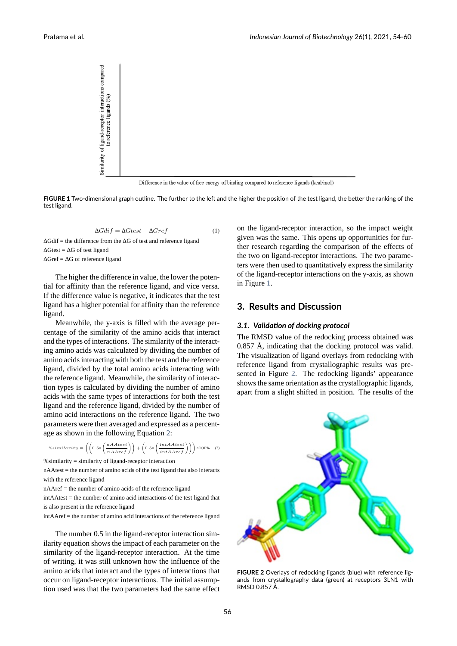<span id="page-2-1"></span>

Difference in the value of free energy of binding compared to reference ligands (kcal/mol)

**FIGURE 1** Two-dimensional graph outline. The further to the left and the higher the position of the test ligand, the better the ranking of the test ligand.

$$
\Delta Gdi f = \Delta Gtest - \Delta Gref
$$
 (1)

 $\Delta$ Gdif = the difference from the  $\Delta$ G of test and reference ligand  $\Delta$ Gtest =  $\Delta$ G of test ligand  $\Delta$ Gref =  $\Delta$ G of reference ligand

The higher the difference in value, the lower the potential for affinity than the reference ligand, and vice versa. If the difference value is negative, it indicates that the test ligand has a higher potential for affinity than the reference ligand.

Meanwhile, the y-axis is filled with the average percentage of the similarity of the amino acids that interact and the types of interactions. The similarity of the interacting amino acids was calculated by dividing the number of amino acids interacting with both the test and the reference ligand, divided by the total amino acids interacting with the reference ligand. Meanwhile, the similarity of interaction types is calculated by dividing the number of amino acids with the same types of interactions for both the test ligand and the reference ligand, divided by the number of amino acid interactions on the reference ligand. The two parameters were then averaged and expressed as a percentage as shown in the following Equation 2:

$$
% similarity = \left( \left( 0.5 \times \left( \frac{nAAtest}{nAAref} \right) \right) + \left( 0.5 \times \left( \frac{intAAtest}{intAAref} \right) \right) \right) \times 100\% \quad (2)
$$

 $%$ similarity = similarity of ligand-receptor interaction

nAAtest = the number of amino acids of the test li[gan](#page-2-0)d that also interacts with the reference ligand

<span id="page-2-0"></span>nAAref = the number of amino acids of the reference ligand

intAAtest = the number of amino acid interactions of the test ligand that is also present in the reference ligand

intAAref = the number of amino acid interactions of the reference ligand

The number 0.5 in the ligand-receptor interaction similarity equation shows the impact of each parameter on the similarity of the ligand-receptor interaction. At the time of writing, it was still unknown how the influence of the amino acids that interact and the types of interactions that occur on ligand-receptor interactions. The initial assumption used was that the two parameters had the same effect on the ligand-receptor interaction, so the impact weight given was the same. This opens up opportunities for further research regarding the comparison of the effects of the two on ligand-receptor interactions. The two parameters were then used to quantitatively express the similarity of the ligand-receptor interactions on the y-axis, as shown in Figure 1.

### **3. Results and Discussion**

#### *3.1. Vali[da](#page-2-1)tion of docking protocol*

The RMSD value of the redocking process obtained was 0.857 Å, indicating that the docking protocol was valid. The visualization of ligand overlays from redocking with reference ligand from crystallographic results was presented in Figure 2. The redocking ligands' appearance shows the same orientation as the crystallographic ligands, apart from a slight shifted in position. The results of the



**FIGURE 2** Overlays of redocking ligands (blue) with reference lig‐ ands from crystallography data (green) at receptors 3LN1 with RMSD 0.857 Å.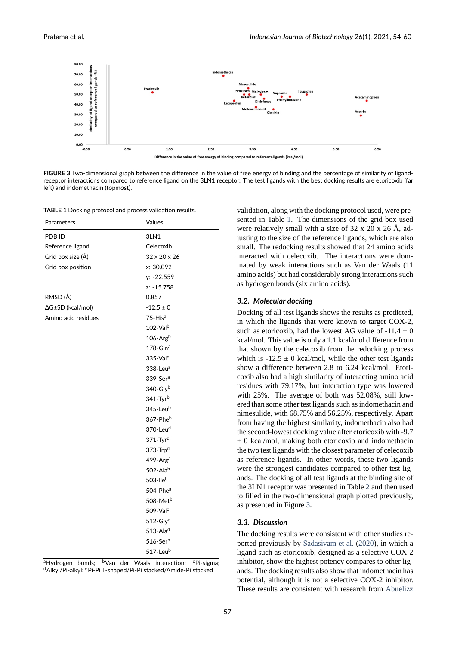<span id="page-3-1"></span>

FIGURE 3 Two-dimensional graph between the difference in the value of free energy of binding and the percentage of similarity of ligandreceptor interactions compared to reference ligand on the 3LN1 receptor. The test ligands with the best docking results are etoricoxib (far left) and indomethacin (topmost).

**TABLE 1** Docking protocol and process validation results.

<span id="page-3-0"></span>

| Parameters          | Values                          |
|---------------------|---------------------------------|
| PDB ID              | 3LN1                            |
| Reference ligand    | Celecoxib                       |
| Grid box size (Å)   | $32 \times 20 \times 26$        |
| Grid box position   | x: 30.092                       |
|                     | y: -22.559                      |
|                     | z: -15.758                      |
| RMSD (Å)            | 0.857                           |
| ∆G±SD (kcal/mol)    | $-12.5 \pm 0$                   |
| Amino acid residues | 75-His <sup>a</sup>             |
|                     | $102-\mathrm{Val}^{\mathrm{b}}$ |
|                     | $106$ -Argb                     |
|                     | $178 - Glna$                    |
|                     | $335$ -Valc                     |
|                     | $338$ -Leu <sup>a</sup>         |
|                     | $339-5era$                      |
|                     | 340-Glyb                        |
|                     | 341-Tyrb                        |
|                     | 345-Leub                        |
|                     | 367-Pheb                        |
|                     | 370-Leu <sup>d</sup>            |
|                     | 371-Tyr <sup>d</sup>            |
|                     | 373-Trp <sup>d</sup>            |
|                     | $499$ -Arg <sup>a</sup>         |
|                     | 502-Alab                        |
|                     | 503-Ile $b$                     |
|                     | 504-Phea                        |
|                     | 508-Met <sup>b</sup>            |
|                     | 509-Valc                        |
|                     | $512$ -Glye                     |
|                     | $513 -$ Ala <sup>d</sup>        |
|                     | $516$ -Ser $b$                  |
|                     | 517-Leub                        |

<sup>a</sup>Hydrogen bonds; <sup>b</sup>Van der Waals interaction; <sup>c</sup>Pi-sigma; <sup>d</sup>Alkyl/Pi‐alkyl; <sup>e</sup>Pi‐Pi T‐shaped/Pi‐Pi stacked/Amide‐Pi stacked

validation, along with the docking protocol used, were presented in Table 1. The dimensions of the grid box used were relatively small with a size of 32 x 20 x 26 Å, adjusting to the size of the reference ligands, which are also small. The redocking results showed that 24 amino acids interacted with [ce](#page-3-0)lecoxib. The interactions were dominated by weak interactions such as Van der Waals (11 amino acids) but had considerably strong interactions such as hydrogen bonds (six amino acids).

#### *3.2. Molecular docking*

Docking of all test ligands shows the results as predicted, in which the ligands that were known to target COX-2, such as etoricoxib, had the lowest AG value of  $-11.4 \pm 0$ kcal/mol. This value is only a 1.1 kcal/mol difference from that shown by the celecoxib from the redocking process which is  $-12.5 \pm 0$  kcal/mol, while the other test ligands show a difference between 2.8 to 6.24 kcal/mol. Etoricoxib also had a high similarity of interacting amino acid residues with 79.17%, but interaction type was lowered with 25%. The average of both was 52.08%, still lowered than some other test ligands such as indomethacin and nimesulide, with 68.75% and 56.25%, respectively. Apart from having the highest similarity, indomethacin also had the second-lowest docking value after etoricoxib with -9.7 ± 0 kcal/mol, making both etoricoxib and indomethacin the two test ligands with the closest parameter of celecoxib as reference ligands. In other words, these two ligands were the strongest candidates compared to other test ligands. The docking of all test ligands at the binding site of the 3LN1 receptor was presented in Table 2 and then used to filled in the two-dimensional graph plotted previously, as presented in Figure 3.

#### *3.3. Discussion*

The docking results were consistent with other studies reported previously by [Sa](#page-3-1)dasivam et al. (2020), in which a ligand such as etoricoxib, designed as a selective COX-2 inhibitor, show the highest potency compares to other ligands. The docking results also show that indomethacin has potential, although it [is not a selectiv](#page-6-6)e [COX](#page-6-6)-2 inhibitor. These results are consistent with research from Abuelizz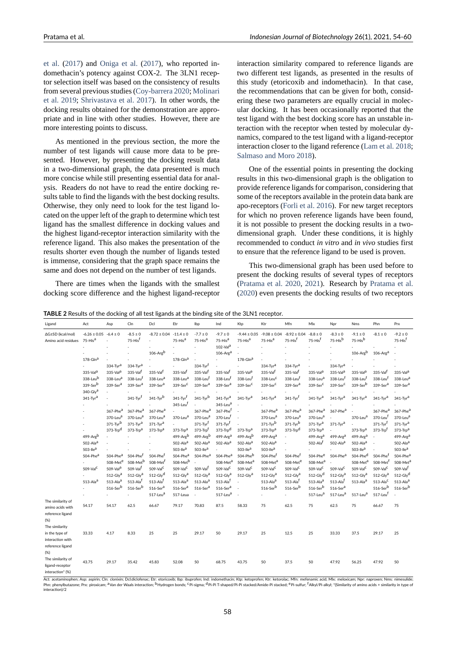et al. (2017) and Oniga et al. (2017), who reported indomethacin's potency against COX-2. The 3LN1 receptor selection itself was based on the consistency of results from several previous studies (Coy-barrera 2020; Molinari [et al.](#page-5-4) 2[019;](#page-5-4) Shriv[astava et al.](#page-6-7) 2[017\).](#page-6-7) In other words, the docking results obtained for the demonstration are appropriate and in line with other studies. However, there are more interesting points to dis[cuss.](#page-5-5)

[As men](#page-6-8)[tioned in the previous](#page-6-9) section, the more the number of test ligands will cause more data to be presented. However, by presenting the docking result data in a two-dimensional graph, the data presented is much more concise while still presenting essential data for analysis. Readers do not have to read the entire docking results table to find the ligands with the best docking results. Otherwise, they only need to look for the test ligand located on the upper left of the graph to determine which test ligand has the smallest difference in docking values and the highest ligand-receptor interaction similarity with the reference ligand. This also makes the presentation of the results shorter even though the number of ligands tested is immense, considering that the graph space remains the same and does not depend on the number of test ligands.

There are times when the ligands with the smallest docking score difference and the highest ligand-receptor interaction similarity compared to reference ligands are [two different test ligands, as presented in the results of](#page-5-4) this study (etoricoxib and indomethacin). In that case, the recommendations that can be given for both, considering these two parameters are equally crucial in molecular docking. It has been occasionally reported that the test ligand with the best docking score has an unstable interaction with the receptor when tested by molecular dynamics, compared to the test ligand with a ligand-receptor interaction closer to the ligand reference (Lam et al. 2018; Salmaso and Moro 2018).

One of the essential points in presenting the docking results in this two-dimensional graph is the obligation to provide reference ligands for comparison, [considering that](#page-5-6) [some of the receptors ava](#page-6-10)ilable in the protein data bank are apo-receptors (Forli et al. 2016). For new target receptors for which no proven reference ligands have been found, it is not possible to present the docking results in a twodimensional graph. Under these conditions, it is highly recommended [to conduct](#page-5-7) *[in vit](#page-5-7)ro* and *in vivo* studies first to ensure that the reference ligand to be used is proven.

This two-dimensional graph has been used before to present the docking results of several types of receptors (Pratama et al. 2020, 2021). Research by Pratama et al. (2020) even presents the docking results of two receptors

**TABLE 2** Results of the docking of all test ligands at the binding site of the 3LN1 receptor.

| Ligand              | Act                  | Asp                             | Cln                                 | Dcl                   | Etr                                    | Ibp                      | Ind                            | Ktp                     | Ktr                     | Mfn                     | Mlx                     | Npr                      | <b>Nms</b>              | Phn                      | Prx                                 |
|---------------------|----------------------|---------------------------------|-------------------------------------|-----------------------|----------------------------------------|--------------------------|--------------------------------|-------------------------|-------------------------|-------------------------|-------------------------|--------------------------|-------------------------|--------------------------|-------------------------------------|
| ∆G±SD (kcal/mol)    | $-6.26 \pm 0.05$     | $-6.4 \pm 0$                    | $-8.5 \pm 0$<br>75-His <sup>f</sup> | $-8.72 \pm 0.04$      | $-11.4 \pm 0$<br>75-Hisa               | $-7.7 \pm 0$             | $-9.7 \pm 0$                   | $-9.44 \pm 0.05$        | $-9.08 \pm 0.04$        | $-8.92 \pm 0.04$        | $-8.8 \pm 0$            | $-8.3 \pm 0$<br>75-Hisb  | $-9.1 \pm 0$<br>75-Hisb | $-8.1 \pm 0$             | $-9.2 \pm 0$<br>75-His <sup>f</sup> |
| Amino acid residues | 75-Hisa              |                                 |                                     | ×,                    |                                        | 75-Hisa                  | $75-Hisa$                      | 75-His <sup>a</sup>     | 75-His <sup>a</sup>     | 75-His <sup>f</sup>     | 75-His <sup>f</sup>     |                          |                         |                          |                                     |
|                     |                      | ×                               | ä,<br>٠                             | 106-Argb              |                                        | ÷.                       | $102 - Vala$<br>$106$ -Arg $a$ |                         |                         |                         |                         | ٠                        | 106-Argb                | $106$ -Arg <sup>a</sup>  |                                     |
|                     | $178 - Gln3$         |                                 | ×                                   | ×                     | $178$ -Gln <sup>a</sup>                |                          | ×                              | $178$ -Gln <sup>a</sup> |                         |                         |                         |                          |                         |                          |                                     |
|                     |                      | $334-Tyra$                      | 334-Tyra                            |                       |                                        | $334 - Tyr$ <sup>f</sup> |                                |                         | $334-Tyr3$              | 334-Tyra                |                         | 334-Tyra                 |                         |                          |                                     |
|                     | 335-Val <sup>a</sup> | 335-Val <sup>a</sup>            | 335-Valf                            | $335 - VaI$           | 335-Valf                               | 335-Valf                 | 335-Val <sup>f</sup>           | 335-Val <sup>a</sup>    | 335-Valf                | 335-Val <sup>f</sup>    | 335-Val <sup>a</sup>    | 335-Val <sup>a</sup>     | 335-Val <sup>a</sup>    | 335-Valf                 | 335-Val <sup>a</sup>                |
|                     | 338-Leub             | 338-Leu <sup>a</sup>            | 338-Leu <sup>f</sup>                | 338-Leu <sup>a</sup>  | 338-Leu <sup>a</sup>                   | 338-Leuf                 | 338-Leu <sup>f</sup>           | 338-Leu <sup>f</sup>    | 338-Leu <sup>C</sup>    | 338-Leu <sup>t</sup>    | 338-Leu <sup>a</sup>    | 338-Leu <sup>f</sup>     | 338-Leu <sup>f</sup>    | 338-Leu <sup>1</sup>     | 338-Leu <sup>a</sup>                |
|                     | 339-Serb             | 339-Ser <sup>a</sup>            | 339-Ser <sup>a</sup>                | 339-Ser <sup>a</sup>  | 339-Ser <sup>C</sup>                   | 339-Ser <sup>a</sup>     | 339-Ser <sup>a</sup>           | 339-Ser <sup>C</sup>    | $339-5er^C$             | 339-Ser <sup>a</sup>    | 339-Ser <sup>C</sup>    | 339-Ser <sup>C</sup>     | 339-Serb                | 339-Ser <sup>a</sup>     | 339-Ser <sup>a</sup>                |
|                     | $340$ -Glya          |                                 |                                     |                       |                                        |                          |                                |                         |                         |                         |                         |                          |                         |                          |                                     |
|                     | 341-Tyra             | ٠                               | 341-Tyr                             | $341$ -Tyr $^{\rm b}$ | $341 - Tyr$ <sup>f</sup>               | $341$ -Tyr $^{\rm b}$    | $341$ -Tyr $^a$                | $341$ -Tyr $a$          | $341$ -Tyr $a$          | $341 - Tyr$             | 341-Tvr <sup>a</sup>    | $341 - Tyra$             | 341-Tyra                | $341$ -Tyr $a$           | $341 - Tyr3$                        |
|                     |                      |                                 |                                     |                       | 345-Leu <sup>f</sup>                   |                          | 345-Leu <sup>a</sup>           |                         |                         |                         |                         |                          |                         |                          |                                     |
|                     |                      | 367-Phe <sup>a</sup>            | 367-Phe <sup>a</sup>                | 367-Phe <sup>a</sup>  |                                        | 367-Phea                 | 367-Phef                       | ×,                      | 367-Phe <sup>a</sup>    | 367-Phe <sup>a</sup>    | 367-Phe <sup>a</sup>    | 367-Phea                 |                         | 367-Phe <sup>a</sup>     | 367-Phe <sup>a</sup>                |
|                     |                      | 370-Leu <sup>a</sup>            | 370-Leu <sup>a</sup>                | 370-Leu <sup>a</sup>  | 370-Leu <sup>a</sup>                   | 370-Leu <sup>a</sup>     | 370-Leuf                       |                         | 370-Leu <sup>a</sup>    | 370-Leu <sup>a</sup>    | 370-Leu <sup>a</sup>    |                          | 370-Leu <sup>a</sup>    | 370-Leu                  | 370-Leu <sup>a</sup>                |
|                     |                      | $371$ -Tyrb                     | $371 - Tyra$                        | $371 - Tyra$          |                                        | $371 - Tyr$ <sup>f</sup> | $371 - Tyr$                    |                         | $371 - Tyrb$            | $371 - Tyrb$            | $371 - Tyra$            | $371 - Tvra$             |                         | $371 - Tyr$ <sup>f</sup> | $371 - Tyra$                        |
|                     |                      | 373-Trpd                        | $373$ -Trp <sup>a</sup>             | 373-Trp <sup>a</sup>  | 373-Trp <sup>a</sup>                   | 373-Trp <sup>f</sup>     | 373-Trpd                       | $373$ -Trp <sup>a</sup> | 373-Trp <sup>a</sup>    | 373-Trpd                | $373$ -Trp <sup>a</sup> |                          | $373$ -Trp <sup>a</sup> | 373-Trp <sup>f</sup>     | $373$ -Trp $a$                      |
|                     | 499-Argb             |                                 |                                     |                       | 499-Argb                               | 499-Argb                 | $499 - Arga$                   | 499-Argb                | $499 - Arga$            | ×.                      | 499-Arg <sup>a</sup>    | $499 - Arga$             | 499-Arg <sup>a</sup>    | ×,                       | $499 - Arga$                        |
|                     | 502-Alaa             |                                 |                                     |                       | $502 - Alaa$                           | 502-Ala <sup>a</sup>     | $502 - Alaa$                   | $502 - Alaa$            | 502-Ala <sup>a</sup>    | ٠                       | 502-Alaf                | $502 - Alaa$             | $502 - Alaa$            | ×                        | 502-Ala <sup>a</sup>                |
|                     | 503-llea             |                                 |                                     |                       | 503-llea                               | $503$ -llea              | ×,                             | $503$ -llea             | 503-llea                | ×                       | ٠                       | $\sim$                   | 503-lle <sup>a</sup>    |                          | 503-llea                            |
|                     | 504-Phe <sup>a</sup> | 504-Phe <sup>a</sup>            | 504-Phef                            | 504-Phe <sup>f</sup>  | 504-Phe <sup>a</sup>                   | 504-Phe <sup>a</sup>     | 504-Phe <sup>a</sup>           | 504-Pheb                | 504-Phe <sup>f</sup>    | 504-Phe <sup>f</sup>    | 504-Phee                | 504-Phe <sup>a</sup>     | 504-Phed                | $504 - Phe1$             | 504-Phe <sup>a</sup>                |
|                     |                      | 508-Met <sup>e</sup>            | 508-Met <sup>b</sup>                | 508-Met <sup>f</sup>  | $508\mbox{-}\mathsf{Met}^{\mathsf{b}}$ |                          | 508-Met <sup>a</sup>           | 508-Met <sup>a</sup>    | 508-Met <sup>a</sup>    | 508-Met <sup>e</sup>    | 508-Met <sup>a</sup>    | $\overline{\phantom{a}}$ | 508-Met <sup>a</sup>    | 508-Met                  | 508-Met <sup>a</sup>                |
|                     | 509-Val <sup>C</sup> | $509 - Vala$                    | 509-Valf                            | $509 - VaIC$          | 509-Val <sup>C</sup>                   | 509-Valf                 | $509 - VaIC$                   | $509 - VaIC$            | $509 - VaIC$            | 509-Val <sup>C</sup>    | 509-Val <sup>C</sup>    | 509-Val <sup>C</sup>     | $509 - VaIC$            | 509-Val <sup>C</sup>     | 509-Valf                            |
|                     |                      | $512$ -Gly <sup>a</sup>         | $512-Gly^a$                         | $512-Gly^d$           | $512$ -Gly <sup>a</sup>                | $512$ -Gly <sup>a</sup>  | $512$ -Glya                    | $512$ -Gly <sup>a</sup> | $512$ -Gly <sup>a</sup> | $512$ -Gly <sup>a</sup> | $512-Gly^d$             | $512$ -Gly <sup>a</sup>  | $512$ -Gly <sup>a</sup> | $512$ -Gly <sup>a</sup>  | $512-Gly^d$                         |
|                     | $513 - Alaa$         | $513 - Alaa$                    | $513 - Alaf$                        | 513-Ala <sup>f</sup>  | $513 - Alaa$                           | $513 - Alaa$             | $513 - Alaf$                   |                         | $513 - Alaa$            | 513-Alaf                | $513 - Alaa$            | 513-Alaf                 | $513 - Alaa$            | $513 - AlaC$             | $513 - Ala2$                        |
|                     |                      | $516\mbox{-} {\rm Ser}^{\rm b}$ | 516-Serb                            | $516-5era$            | $516 - Sera$                           | $516-5era$               | $516 - Sera$                   | ×                       | $516-5erb$              | $516-5erb$              | $516-5erb$              | $516-5era$               |                         | $516-5er^b$              | $516-5erb$                          |
|                     |                      | ٠                               | ä,                                  | 517-Leua              | 517-Leua                               | $\sim$                   | 517-Leu <sup>a</sup>           |                         | ٠                       | ٠                       | 517-Leu <sup>a</sup>    | 517-Leu <sup>a</sup>     | 517-Leu <sup>a</sup>    | 517-Leuf                 |                                     |
| The similarity of   |                      |                                 |                                     |                       |                                        |                          |                                |                         |                         |                         |                         |                          |                         |                          |                                     |
| amino acids with    | 54.17                | 54.17                           | 62.5                                | 66.67                 | 79.17                                  | 70.83                    | 87.5                           | 58.33                   | 75                      | 62.5                    | 75                      | 62.5                     | 75                      | 66.67                    | 75                                  |
| reference ligand    |                      |                                 |                                     |                       |                                        |                          |                                |                         |                         |                         |                         |                          |                         |                          |                                     |
| (% )                |                      |                                 |                                     |                       |                                        |                          |                                |                         |                         |                         |                         |                          |                         |                          |                                     |
| The similarity      |                      |                                 |                                     |                       |                                        |                          |                                |                         |                         |                         |                         |                          |                         |                          |                                     |
| in the type of      | 33.33                | 4.17                            | 8.33                                | 25                    | 25                                     | 29.17                    | 50                             | 29.17                   | 25                      | 12.5                    | 25                      | 33.33                    | 37.5                    | 29.17                    | 25                                  |
| interaction with    |                      |                                 |                                     |                       |                                        |                          |                                |                         |                         |                         |                         |                          |                         |                          |                                     |
| reference ligand    |                      |                                 |                                     |                       |                                        |                          |                                |                         |                         |                         |                         |                          |                         |                          |                                     |
| (%)                 |                      |                                 |                                     |                       |                                        |                          |                                |                         |                         |                         |                         |                          |                         |                          |                                     |
| The similarity of   |                      |                                 |                                     |                       |                                        |                          |                                |                         |                         |                         |                         |                          |                         |                          |                                     |
| ligand-receptor     | 43.75                | 29.17                           | 35.42                               | 45.83                 | 52.08                                  | 50                       | 68.75                          | 43.75                   | 50                      | 37.5                    | 50                      | 47.92                    | 56.25                   | 47.92                    | 50                                  |
| interaction* (%)    |                      |                                 |                                     |                       |                                        |                          |                                |                         |                         |                         |                         |                          |                         |                          |                                     |

Act: acetaminophen; Asp: aspirin; Cln: clonixin; Dcl:diclofenac; Etr: etoricoxib; Ibp: ibuprofen; Ind: indomethacin; Ktp: ketoprofen; Ktr: ketorolac; Mfn: mefenamic acid; Mlx: meloxicam; Npr: naproxen; Nms: nimesulide; Phn: phenylbutazone; Prx: piroxicam; <sup>a</sup>Van der Waals interaction; <sup>b</sup>Hydrogen bonds; <sup>c</sup>Pi‐sigma; <sup>d</sup>Pi‐Pi T‐shaped/Pi‐Pi stacked/Amide‐Pi stacked; <sup>e</sup>Pi‐sulfur; <sup>f</sup>Alkyl/Pi‐alkyl; \*(Similarity of amino acids + similarity interaction)/2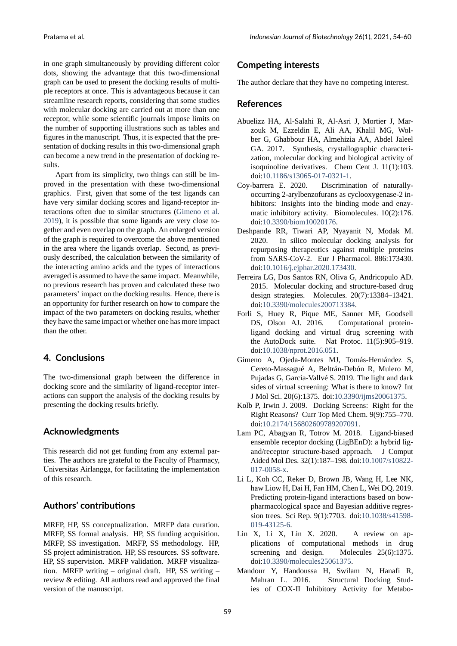in one graph simultaneously by providing different color dots, showing the advantage that this two-dimensional graph can be used to present the docking results of multiple receptors at once. This is advantageous because it can streamline research reports, considering that some studies with molecular docking are carried out at more than one receptor, while some scientific journals impose limits on the number of supporting illustrations such as tables and figures in the manuscript. Thus, it is expected that the presentation of docking results in this two-dimensional graph can become a new trend in the presentation of docking results.

Apart from its simplicity, two things can still be improved in the presentation with these two-dimensional graphics. First, given that some of the test ligands can have very similar docking scores and ligand-receptor interactions often due to similar structures (Gimeno et al. 2019), it is possible that some ligands are very close together and even overlap on the graph. An enlarged version of the graph is required to overcome the above mentioned in the area where the ligands overlap. Se[cond, as previ](#page-5-8)[ously](#page-5-8) described, the calculation between the similarity of the interacting amino acids and the types of interactions averaged is assumed to have the same impact. Meanwhile, no previous research has proven and calculated these two parameters' impact on the docking results. Hence, there is an opportunity for further research on how to compare the impact of the two parameters on docking results, whether they have the same impact or whether one has more impact than the other.

### **4. Conclusions**

The two-dimensional graph between the difference in docking score and the similarity of ligand-receptor interactions can support the analysis of the docking results by presenting the docking results briefly.

## **Acknowledgments**

This research did not get funding from any external parties. The authors are grateful to the Faculty of Pharmacy, Universitas Airlangga, for facilitating the implementation of this research.

## **Authors' contributions**

MRFP, HP, SS conceptualization. MRFP data curation. MRFP, SS formal analysis. HP, SS funding acquisition. MRFP, SS investigation. MRFP, SS methodology. HP, SS project administration. HP, SS resources. SS software. HP, SS supervision. MRFP validation. MRFP visualization. MRFP writing – original draft. HP, SS writing – review & editing. All authors read and approved the final version of the manuscript.

# **Competing interests**

The author declare that they have no competing interest.

### **References**

- Abuelizz HA, Al-Salahi R, Al-Asri J, Mortier J, Marzouk M, Ezzeldin E, Ali AA, Khalil MG, Wolber G, Ghabbour HA, Almehizia AA, Abdel Jaleel GA. 2017. Synthesis, crystallographic characterization, molecular docking and biological activity of isoquinoline derivatives. Chem Cent J. 11(1):103. doi:10.1186/s13065-017-0321-1.
- <span id="page-5-4"></span>Coybarrera E. 2020. Discrimination of naturallyoccurring 2-arylbenzofurans as cyclooxygenase-2 inhibitors: Insights into the binding mode and enzymat[ic inhibitory activity. Biom](https://doi.org/10.1186/s13065-017-0321-1)olecules. 10(2):176. doi:10.3390/biom10020176.
- <span id="page-5-5"></span>Deshpande RR, Tiwari AP, Nyayanit N, Modak M. 2020. In silico molecular docking analysis for repurposing therapeutics against multiple proteins from SARS-CoV-2. Eur J Pharmacol. 886:173430. doi:10.1016/j.ejphar.2020.173430.
- Ferreira LG, Dos Santos RN, Oliva G, Andricopulo AD. 2015. Molecular docking and structure-based drug design strategies. Molecules. 20(7):13384–13421. doi[:10.3390/molecules200713384](https://doi.org/10.1016/j.ejphar.2020.173430).
- <span id="page-5-1"></span>Forli S, Huey R, Pique ME, Sanner MF, Goodsell DS, Olson AJ. 2016. Computational proteinligand docking and virtual drug screening with the [AutoDock suite. Nat Proto](https://doi.org/10.3390/molecules200713384)c. 11(5):905–919. doi:10.1038/nprot.2016.051.
- <span id="page-5-7"></span>Gimeno A, Ojeda-Montes MJ, Tomás-Hernández S, Cereto-Massagué A, Beltrán-Debón R, Mulero M, Pujadas G, Garcia-Vallvé S. 2019. The light and dark sid[es of virtual screening: W](https://doi.org/10.1038/nprot.2016.051)hat is there to know? Int J Mol Sci. 20(6):1375. doi:10.3390/ijms20061375.
- <span id="page-5-8"></span>Kolb P, Irwin J. 2009. Docking Screens: Right for the Right Reasons? Curr Top Med Chem. 9(9):755–770. doi:10.2174/156802609789207091.
- <span id="page-5-3"></span>Lam PC, Abagyan R, Totrov M. 2018. Ligand-biased ensemble receptor docking (LigBEnD): a hybrid ligand/receptor structure-based approach. J Comput Aid[ed Mol Des. 32\(1\):187–198. doi](https://doi.org/10.2174/156802609789207091):10.1007/s10822 017-0058-x.
- <span id="page-5-6"></span>Li L, Koh CC, Reker D, Brown JB, Wang H, Lee NK, haw Liow H, Dai H, Fan HM, Chen L, Wei DQ. 2019. Predicting protein-ligand interactio[ns based on bow](https://doi.org/10.1007/s10822-017-0058-x)[pharmacolo](https://doi.org/10.1007/s10822-017-0058-x)gical space and Bayesian additive regression trees. Sci Rep. 9(1):7703. doi:10.1038/s41598 019-43125-6.
- <span id="page-5-2"></span>Lin X, Li X, Lin X. 2020. A review on applications of computational methods in drug screening and design. Molec[ules 25\(6\):1375.](https://doi.org/10.1038/s41598-019-43125-6) [doi:10.3390/m](https://doi.org/10.1038/s41598-019-43125-6)olecules25061375.
- <span id="page-5-0"></span>Mandour Y, Handoussa H, Swilam N, Hanafi R, Mahran L. 2016. Structural Docking Studies of COX-II Inhibitory Activity for Metabo-